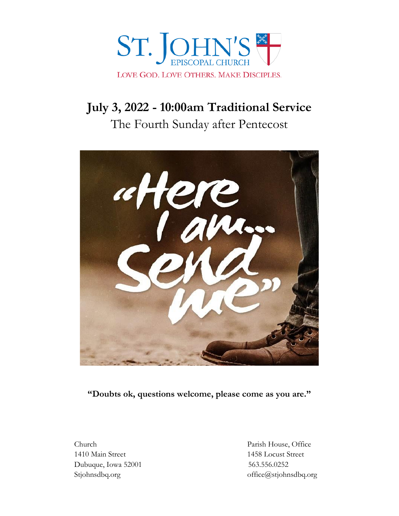

# **July 3, 2022 - 10:00am Traditional Service** The Fourth Sunday after Pentecost



**"Doubts ok, questions welcome, please come as you are."**

1410 Main Street 1458 Locust Street Dubuque, Iowa 52001 563.556.0252

Church Parish House, Office Stjohnsdbq.org office@stjohnsdbq.org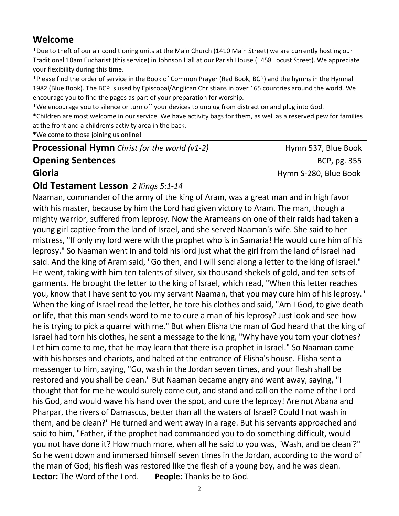## **Welcome**

\*Due to theft of our air conditioning units at the Main Church (1410 Main Street) we are currently hosting our Traditional 10am Eucharist (this service) in Johnson Hall at our Parish House (1458 Locust Street). We appreciate your flexibility during this time.

\*Please find the order of service in the Book of Common Prayer (Red Book, BCP) and the hymns in the Hymnal 1982 (Blue Book). The BCP is used by Episcopal/Anglican Christians in over 165 countries around the world. We encourage you to find the pages as part of your preparation for worship.

\*We encourage you to silence or turn off your devices to unplug from distraction and plug into God.

\*Children are most welcome in our service. We have activity bags for them, as well as a reserved pew for families at the front and a children's activity area in the back.

\*Welcome to those joining us online!

# **Processional Hymn** *Christ for the world (v1-2)* Hymn 537, Blue Book **Opening Sentences BCP**, pg. 355 **Gloria** Hymn S-280, Blue Book

### **Old Testament Lesson** *2 Kings 5:1-14*

Naaman, commander of the army of the king of Aram, was a great man and in high favor with his master, because by him the Lord had given victory to Aram. The man, though a mighty warrior, suffered from leprosy. Now the Arameans on one of their raids had taken a young girl captive from the land of Israel, and she served Naaman's wife. She said to her mistress, "If only my lord were with the prophet who is in Samaria! He would cure him of his leprosy." So Naaman went in and told his lord just what the girl from the land of Israel had said. And the king of Aram said, "Go then, and I will send along a letter to the king of Israel." He went, taking with him ten talents of silver, six thousand shekels of gold, and ten sets of garments. He brought the letter to the king of Israel, which read, "When this letter reaches you, know that I have sent to you my servant Naaman, that you may cure him of his leprosy." When the king of Israel read the letter, he tore his clothes and said, "Am I God, to give death or life, that this man sends word to me to cure a man of his leprosy? Just look and see how he is trying to pick a quarrel with me." But when Elisha the man of God heard that the king of Israel had torn his clothes, he sent a message to the king, "Why have you torn your clothes? Let him come to me, that he may learn that there is a prophet in Israel." So Naaman came with his horses and chariots, and halted at the entrance of Elisha's house. Elisha sent a messenger to him, saying, "Go, wash in the Jordan seven times, and your flesh shall be restored and you shall be clean." But Naaman became angry and went away, saying, "I thought that for me he would surely come out, and stand and call on the name of the Lord his God, and would wave his hand over the spot, and cure the leprosy! Are not Abana and Pharpar, the rivers of Damascus, better than all the waters of Israel? Could I not wash in them, and be clean?" He turned and went away in a rage. But his servants approached and said to him, "Father, if the prophet had commanded you to do something difficult, would you not have done it? How much more, when all he said to you was, `Wash, and be clean'?" So he went down and immersed himself seven times in the Jordan, according to the word of the man of God; his flesh was restored like the flesh of a young boy, and he was clean. Lector: The Word of the Lord. People: Thanks be to God.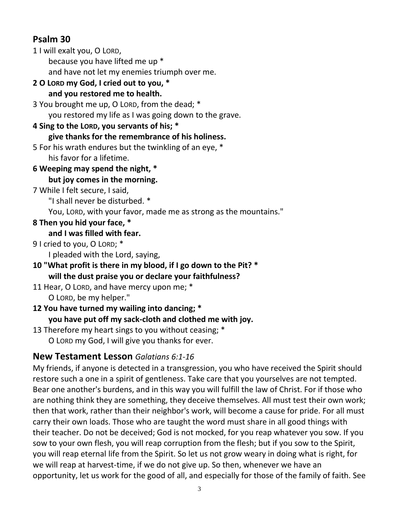## **Psalm 30**

1 I will exalt you, O LORD,

because you have lifted me up \*

and have not let my enemies triumph over me.

## **2 O LORD my God, I cried out to you, \***

## **and you restored me to health.**

3 You brought me up, O LORD, from the dead; \* you restored my life as I was going down to the grave.

## **4 Sing to the LORD, you servants of his; \***

### **give thanks for the remembrance of his holiness.**

5 For his wrath endures but the twinkling of an eye, \* his favor for a lifetime.

### **6 Weeping may spend the night, \***

### **but joy comes in the morning.**

7 While I felt secure, I said,

"I shall never be disturbed. \*

You, LORD, with your favor, made me as strong as the mountains."

### **8 Then you hid your face, \***

### **and I was filled with fear.**

9 I cried to you, O LORD; \*

I pleaded with the Lord, saying,

- **10 "What profit is there in my blood, if I go down to the Pit? \* will the dust praise you or declare your faithfulness?**
- 11 Hear, O LORD, and have mercy upon me; \*

O LORD, be my helper."

- **12 You have turned my wailing into dancing; \* you have put off my sack-cloth and clothed me with joy.**
- 13 Therefore my heart sings to you without ceasing; \* O LORD my God, I will give you thanks for ever.

## **New Testament Lesson** *Galatians 6:1-16*

My friends, if anyone is detected in a transgression, you who have received the Spirit should restore such a one in a spirit of gentleness. Take care that you yourselves are not tempted. Bear one another's burdens, and in this way you will fulfill the law of Christ. For if those who are nothing think they are something, they deceive themselves. All must test their own work; then that work, rather than their neighbor's work, will become a cause for pride. For all must carry their own loads. Those who are taught the word must share in all good things with their teacher. Do not be deceived; God is not mocked, for you reap whatever you sow. If you sow to your own flesh, you will reap corruption from the flesh; but if you sow to the Spirit, you will reap eternal life from the Spirit. So let us not grow weary in doing what is right, for we will reap at harvest-time, if we do not give up. So then, whenever we have an opportunity, let us work for the good of all, and especially for those of the family of faith. See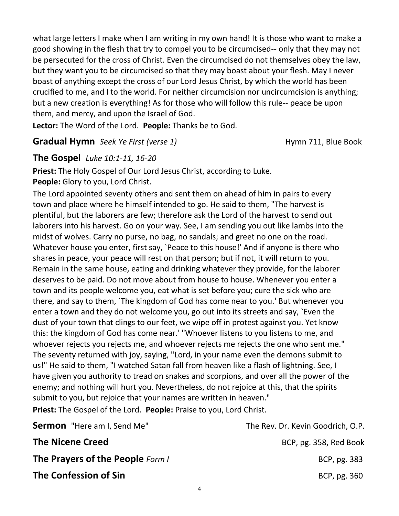what large letters I make when I am writing in my own hand! It is those who want to make a good showing in the flesh that try to compel you to be circumcised-- only that they may not be persecuted for the cross of Christ. Even the circumcised do not themselves obey the law, but they want you to be circumcised so that they may boast about your flesh. May I never boast of anything except the cross of our Lord Jesus Christ, by which the world has been crucified to me, and I to the world. For neither circumcision nor uncircumcision is anything; but a new creation is everything! As for those who will follow this rule-- peace be upon them, and mercy, and upon the Israel of God.

**Lector:** The Word of the Lord. **People:** Thanks be to God.

### **Gradual Hymn** *Seek Ye First (verse 1)* Hymn 711, Blue Book

### **The Gospel** *Luke 10:1-11, 16-20*

**Priest:** The Holy Gospel of Our Lord Jesus Christ, according to Luke. **People:** Glory to you, Lord Christ.

The Lord appointed seventy others and sent them on ahead of him in pairs to every town and place where he himself intended to go. He said to them, "The harvest is plentiful, but the laborers are few; therefore ask the Lord of the harvest to send out laborers into his harvest. Go on your way. See, I am sending you out like lambs into the midst of wolves. Carry no purse, no bag, no sandals; and greet no one on the road. Whatever house you enter, first say, `Peace to this house!' And if anyone is there who shares in peace, your peace will rest on that person; but if not, it will return to you. Remain in the same house, eating and drinking whatever they provide, for the laborer deserves to be paid. Do not move about from house to house. Whenever you enter a town and its people welcome you, eat what is set before you; cure the sick who are there, and say to them, `The kingdom of God has come near to you.' But whenever you enter a town and they do not welcome you, go out into its streets and say, `Even the dust of your town that clings to our feet, we wipe off in protest against you. Yet know this: the kingdom of God has come near.' "Whoever listens to you listens to me, and whoever rejects you rejects me, and whoever rejects me rejects the one who sent me." The seventy returned with joy, saying, "Lord, in your name even the demons submit to us!" He said to them, "I watched Satan fall from heaven like a flash of lightning. See, I have given you authority to tread on snakes and scorpions, and over all the power of the enemy; and nothing will hurt you. Nevertheless, do not rejoice at this, that the spirits submit to you, but rejoice that your names are written in heaven." **Priest:** The Gospel of the Lord. **People:** Praise to you, Lord Christ.

**Sermon** "Here am I, Send Me" The Rev. Dr. Kevin Goodrich, O.P.

**The Prayers of the People** *Form I* **BCP**, pg. 383

**The Nicene Creed BCP**, pg. 358, Red Book **The Confession of Sin**<br>**BCP**, pg. 360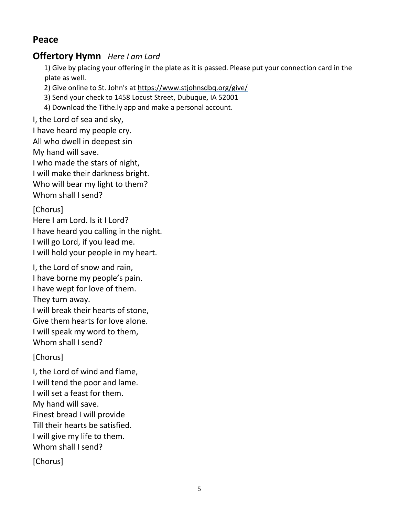## **Peace**

### **Offertory Hymn** *Here I am Lord*

1) Give by placing your offering in the plate as it is passed. Please put your connection card in the plate as well.

2) Give online to St. John's at <https://www.stjohnsdbq.org/give/>

3) Send your check to 1458 Locust Street, Dubuque, IA 52001

4) Download the Tithe.ly app and make a personal account.

I, the Lord of sea and sky,

I have heard my people cry. All who dwell in deepest sin My hand will save. I who made the stars of night, I will make their darkness bright. Who will bear my light to them? Whom shall I send?

### [Chorus]

Here I am Lord. Is it I Lord? I have heard you calling in the night. I will go Lord, if you lead me. I will hold your people in my heart.

I, the Lord of snow and rain, I have borne my people's pain. I have wept for love of them. They turn away. I will break their hearts of stone, Give them hearts for love alone. I will speak my word to them, Whom shall I send?

### [Chorus]

I, the Lord of wind and flame, I will tend the poor and lame. I will set a feast for them. My hand will save. Finest bread I will provide Till their hearts be satisfied. I will give my life to them. Whom shall I send?

[Chorus]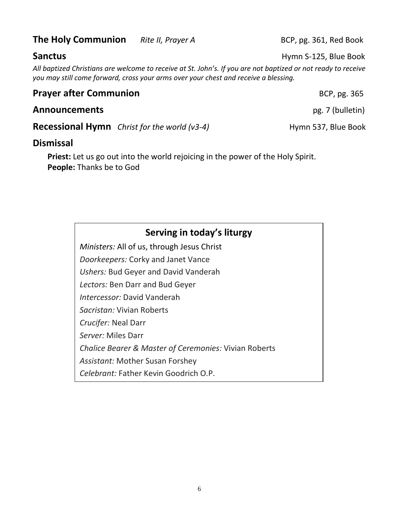### **The Holy Communion** *Rite II, Prayer A* BCP, pg. 361, Red Book

*All baptized Christians are welcome to receive at St. John's. If you are not baptized or not ready to receive you may still come forward, cross your arms over your chest and receive a blessing.* 

### **Prayer after Communion BCP**, pg. 365

### **Announcements** pg. 7 (bulletin)

**Recessional Hymn** *Christ for the world (v3-4)* **Hymn 537, Blue Book** 

### **Dismissal**

**Priest:** Let us go out into the world rejoicing in the power of the Holy Spirit. **People:** Thanks be to God

# **Serving in today's liturgy**

*Ministers:* All of us, through Jesus Christ

*Doorkeepers:* Corky and Janet Vance

*Ushers:* Bud Geyer and David Vanderah

*Lectors:* Ben Darr and Bud Geyer

*Intercessor:* David Vanderah

*Sacristan:* Vivian Roberts

*Crucifer:* Neal Darr

*Server:* Miles Darr

*Chalice Bearer & Master of Ceremonies:* Vivian Roberts

*Assistant:* Mother Susan Forshey

*Celebrant:* Father Kevin Goodrich O.P.

6

**Sanctus Contractus Contractus Contractus Exercise 2.125**, Blue Book

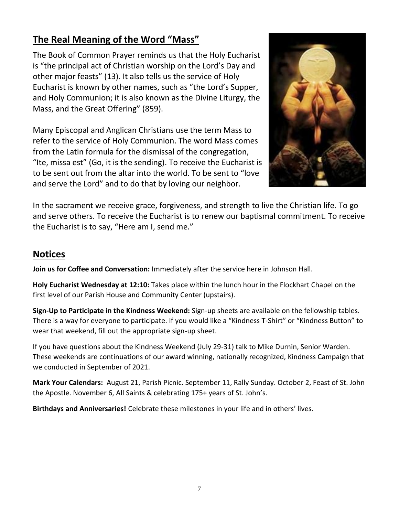# **The Real Meaning of the Word "Mass"**

The Book of Common Prayer reminds us that the Holy Eucharist is "the principal act of Christian worship on the Lord's Day and other major feasts" (13). It also tells us the service of Holy Eucharist is known by other names, such as "the Lord's Supper, and Holy Communion; it is also known as the Divine Liturgy, the Mass, and the Great Offering" (859).

Many Episcopal and Anglican Christians use the term Mass to refer to the service of Holy Communion. The word Mass comes from the Latin formula for the dismissal of the congregation, "Ite, missa est" (Go, it is the sending). To receive the Eucharist is to be sent out from the altar into the world. To be sent to "love and serve the Lord" and to do that by loving our neighbor.



In the sacrament we receive grace, forgiveness, and strength to live the Christian life. To go and serve others. To receive the Eucharist is to renew our baptismal commitment. To receive the Eucharist is to say, "Here am I, send me."

### **Notices**

**Join us for Coffee and Conversation:** Immediately after the service here in Johnson Hall.

**Holy Eucharist Wednesday at 12:10:** Takes place within the lunch hour in the Flockhart Chapel on the first level of our Parish House and Community Center (upstairs).

**Sign-Up to Participate in the Kindness Weekend:** Sign-up sheets are available on the fellowship tables. There is a way for everyone to participate. If you would like a "Kindness T-Shirt" or "Kindness Button" to wear that weekend, fill out the appropriate sign-up sheet.

If you have questions about the Kindness Weekend (July 29-31) talk to Mike Durnin, Senior Warden. These weekends are continuations of our award winning, nationally recognized, Kindness Campaign that we conducted in September of 2021.

**Mark Your Calendars:** August 21, Parish Picnic. September 11, Rally Sunday. October 2, Feast of St. John the Apostle. November 6, All Saints & celebrating 175+ years of St. John's.

**Birthdays and Anniversaries!** Celebrate these milestones in your life and in others' lives.